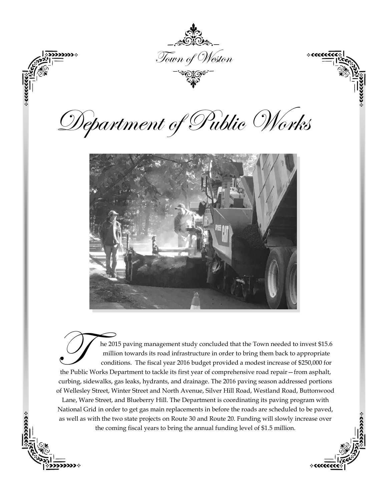

The 2015 paving management study concluded that the Town needed to invest \$15.6 million towards its road infrastructure in order to bring them back to appropriate conditions. The fiscal year 2016 budget provided a modest i he 2015 paving management study concluded that the Town needed to invest \$15.6 million towards its road infrastructure in order to bring them back to appropriate conditions. The fiscal year 2016 budget provided a modest increase of \$250,000 for curbing, sidewalks, gas leaks, hydrants, and drainage. The 2016 paving season addressed portions of Wellesley Street, Winter Street and North Avenue, Silver Hill Road, Westland Road, Buttonwood Lane, Ware Street, and Blueberry Hill. The Department is coordinating its paving program with National Grid in order to get gas main replacements in before the roads are scheduled to be paved, as well as with the two state projects on Route 30 and Route 20. Funding will slowly increase over the coming fiscal years to bring the annual funding level of \$1.5 million.

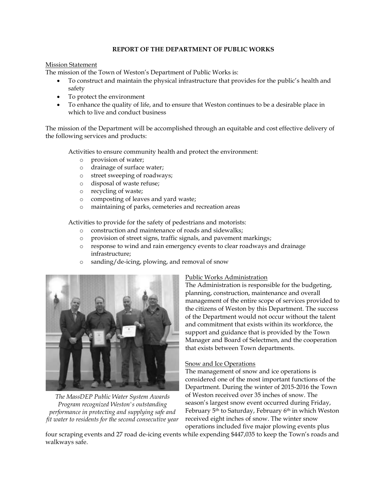### **REPORT OF THE DEPARTMENT OF PUBLIC WORKS**

### Mission Statement

The mission of the Town of Weston's Department of Public Works is:

- To construct and maintain the physical infrastructure that provides for the public's health and safety
- To protect the environment
- To enhance the quality of life, and to ensure that Weston continues to be a desirable place in which to live and conduct business

The mission of the Department will be accomplished through an equitable and cost effective delivery of the following services and products:

Activities to ensure community health and protect the environment:

- o provision of water;
- o drainage of surface water;
- o street sweeping of roadways;
- o disposal of waste refuse;
- o recycling of waste;
- o composting of leaves and yard waste;
- o maintaining of parks, cemeteries and recreation areas

Activities to provide for the safety of pedestrians and motorists:

- o construction and maintenance of roads and sidewalks;
- o provision of street signs, traffic signals, and pavement markings;
- o response to wind and rain emergency events to clear roadways and drainage infrastructure;
- o sanding/de-icing, plowing, and removal of snow



*The MassDEP Public Water System Awards Program recognized Weston's outstanding performance in protecting and supplying safe and fit water to residents for the second consecutive year*

# Public Works Administration

The Administration is responsible for the budgeting, planning, construction, maintenance and overall management of the entire scope of services provided to the citizens of Weston by this Department. The success of the Department would not occur without the talent and commitment that exists within its workforce, the support and guidance that is provided by the Town Manager and Board of Selectmen, and the cooperation that exists between Town departments.

# Snow and Ice Operations

The management of snow and ice operations is considered one of the most important functions of the Department. During the winter of 2015-2016 the Town of Weston received over 35 inches of snow. The season's largest snow event occurred during Friday, February 5<sup>th</sup> to Saturday, February 6<sup>th</sup> in which Weston received eight inches of snow. The winter snow operations included five major plowing events plus

four scraping events and 27 road de-icing events while expending \$447,035 to keep the Town's roads and walkways safe.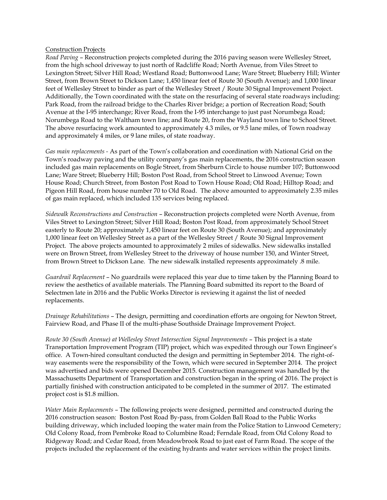#### Construction Projects

*Road Paving* – Reconstruction projects completed during the 2016 paving season were Wellesley Street, from the high school driveway to just north of Radcliffe Road; North Avenue, from Viles Street to Lexington Street; Silver Hill Road; Westland Road; Buttonwood Lane; Ware Street; Blueberry Hill; Winter Street, from Brown Street to Dickson Lane; 1,450 linear feet of Route 30 (South Avenue); and 1,000 linear feet of Wellesley Street to binder as part of the Wellesley Street / Route 30 Signal Improvement Project. Additionally, the Town coordinated with the state on the resurfacing of several state roadways including: Park Road, from the railroad bridge to the Charles River bridge; a portion of Recreation Road; South Avenue at the I-95 interchange; River Road, from the I-95 interchange to just past Norumbega Road; Norumbega Road to the Waltham town line; and Route 20, from the Wayland town line to School Street. The above resurfacing work amounted to approximately 4.3 miles, or 9.5 lane miles, of Town roadway and approximately 4 miles, or 9 lane miles, of state roadway.

*Gas main replacements -* As part of the Town's collaboration and coordination with National Grid on the Town's roadway paving and the utility company's gas main replacements, the 2016 construction season included gas main replacements on Bogle Street, from Sherburn Circle to house number 107; Buttonwood Lane; Ware Street; Blueberry Hill; Boston Post Road, from School Street to Linwood Avenue; Town House Road; Church Street, from Boston Post Road to Town House Road; Old Road; Hilltop Road; and Pigeon Hill Road, from house number 70 to Old Road. The above amounted to approximately 2.35 miles of gas main replaced, which included 135 services being replaced.

*Sidewalk Reconstructions and Construction* – Reconstruction projects completed were North Avenue, from Viles Street to Lexington Street; Silver Hill Road; Boston Post Road, from approximately School Street easterly to Route 20; approximately 1,450 linear feet on Route 30 (South Avenue); and approximately 1,000 linear feet on Wellesley Street as a part of the Wellesley Street / Route 30 Signal Improvement Project. The above projects amounted to approximately 2 miles of sidewalks. New sidewalks installed were on Brown Street, from Wellesley Street to the driveway of house number 150, and Winter Street, from Brown Street to Dickson Lane. The new sidewalk installed represents approximately .8 mile.

*Guardrail Replacement* – No guardrails were replaced this year due to time taken by the Planning Board to review the aesthetics of available materials. The Planning Board submitted its report to the Board of Selectmen late in 2016 and the Public Works Director is reviewing it against the list of needed replacements.

*Drainage Rehabilitations* – The design, permitting and coordination efforts are ongoing for Newton Street, Fairview Road, and Phase II of the multi-phase Southside Drainage Improvement Project.

*Route 30 (South Avenue) at Wellesley Street Intersection Signal Improvements* – This project is a state Transportation Improvement Program (TIP) project, which was expedited through our Town Engineer's office. A Town-hired consultant conducted the design and permitting in September 2014. The right-ofway easements were the responsibility of the Town, which were secured in September 2014. The project was advertised and bids were opened December 2015. Construction management was handled by the Massachusetts Department of Transportation and construction began in the spring of 2016. The project is partially finished with construction anticipated to be completed in the summer of 2017. The estimated project cost is \$1.8 million.

*Water Main Replacements* – The following projects were designed, permitted and constructed during the 2016 construction season: Boston Post Road By-pass, from Golden Ball Road to the Public Works building driveway, which included looping the water main from the Police Station to Linwood Cemetery; Old Colony Road, from Pembroke Road to Columbine Road; Ferndale Road, from Old Colony Road to Ridgeway Road; and Cedar Road, from Meadowbrook Road to just east of Farm Road. The scope of the projects included the replacement of the existing hydrants and water services within the project limits.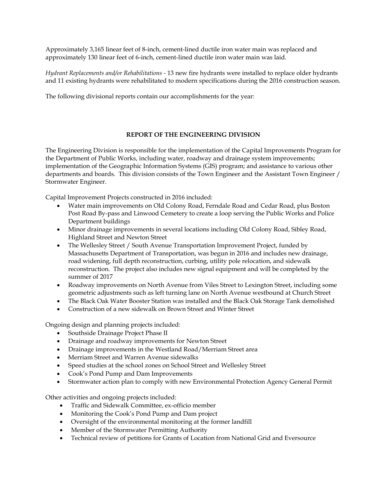Approximately 3,165 linear feet of 8-inch, cement-lined ductile iron water main was replaced and approximately 130 linear feet of 6-inch, cement-lined ductile iron water main was laid.

*Hydrant Replacements and/or Rehabilitations -* 13 new fire hydrants were installed to replace older hydrants and 11 existing hydrants were rehabilitated to modern specifications during the 2016 construction season.

The following divisional reports contain our accomplishments for the year:

## **REPORT OF THE ENGINEERING DIVISION**

The Engineering Division is responsible for the implementation of the Capital Improvements Program for the Department of Public Works, including water, roadway and drainage system improvements; implementation of the Geographic Information Systems (GIS) program; and assistance to various other departments and boards. This division consists of the Town Engineer and the Assistant Town Engineer / Stormwater Engineer.

Capital Improvement Projects constructed in 2016 included:

- Water main improvements on Old Colony Road, Ferndale Road and Cedar Road, plus Boston Post Road By-pass and Linwood Cemetery to create a loop serving the Public Works and Police Department buildings
- Minor drainage improvements in several locations including Old Colony Road, Sibley Road, Highland Street and Newton Street
- The Wellesley Street / South Avenue Transportation Improvement Project, funded by Massachusetts Department of Transportation, was begun in 2016 and includes new drainage, road widening, full depth reconstruction, curbing, utility pole relocation, and sidewalk reconstruction. The project also includes new signal equipment and will be completed by the summer of 2017
- Roadway improvements on North Avenue from Viles Street to Lexington Street, including some geometric adjustments such as left turning lane on North Avenue westbound at Church Street
- The Black Oak Water Booster Station was installed and the Black Oak Storage Tank demolished
- Construction of a new sidewalk on Brown Street and Winter Street

Ongoing design and planning projects included:

- Southside Drainage Project Phase II
- Drainage and roadway improvements for Newton Street
- Drainage improvements in the Westland Road/Merriam Street area
- Merriam Street and Warren Avenue sidewalks
- Speed studies at the school zones on School Street and Wellesley Street
- Cook's Pond Pump and Dam Improvements
- Stormwater action plan to comply with new Environmental Protection Agency General Permit

Other activities and ongoing projects included:

- Traffic and Sidewalk Committee, ex-officio member
- Monitoring the Cook's Pond Pump and Dam project
- Oversight of the environmental monitoring at the former landfill
- Member of the Stormwater Permitting Authority
- Technical review of petitions for Grants of Location from National Grid and Eversource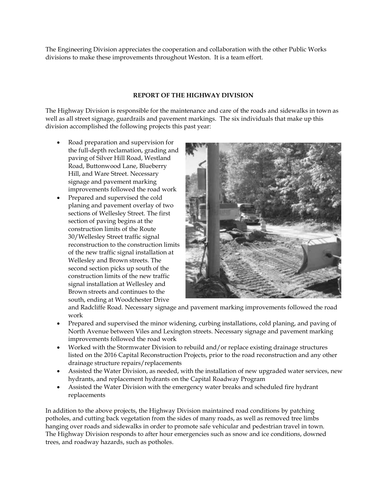The Engineering Division appreciates the cooperation and collaboration with the other Public Works divisions to make these improvements throughout Weston. It is a team effort.

# **REPORT OF THE HIGHWAY DIVISION**

The Highway Division is responsible for the maintenance and care of the roads and sidewalks in town as well as all street signage, guardrails and pavement markings. The six individuals that make up this division accomplished the following projects this past year:

- Road preparation and supervision for the full-depth reclamation, grading and paving of Silver Hill Road, Westland Road, Buttonwood Lane, Blueberry Hill, and Ware Street. Necessary signage and pavement marking improvements followed the road work
- Prepared and supervised the cold planing and pavement overlay of two sections of Wellesley Street. The first section of paving begins at the construction limits of the Route 30/Wellesley Street traffic signal reconstruction to the construction limits of the new traffic signal installation at Wellesley and Brown streets. The second section picks up south of the construction limits of the new traffic signal installation at Wellesley and Brown streets and continues to the south, ending at Woodchester Drive



and Radcliffe Road. Necessary signage and pavement marking improvements followed the road work

- Prepared and supervised the minor widening, curbing installations, cold planing, and paving of North Avenue between Viles and Lexington streets. Necessary signage and pavement marking improvements followed the road work
- Worked with the Stormwater Division to rebuild and/or replace existing drainage structures listed on the 2016 Capital Reconstruction Projects, prior to the road reconstruction and any other drainage structure repairs/replacements
- Assisted the Water Division, as needed, with the installation of new upgraded water services, new hydrants, and replacement hydrants on the Capital Roadway Program
- Assisted the Water Division with the emergency water breaks and scheduled fire hydrant replacements

In addition to the above projects, the Highway Division maintained road conditions by patching potholes, and cutting back vegetation from the sides of many roads, as well as removed tree limbs hanging over roads and sidewalks in order to promote safe vehicular and pedestrian travel in town. The Highway Division responds to after hour emergencies such as snow and ice conditions, downed trees, and roadway hazards, such as potholes.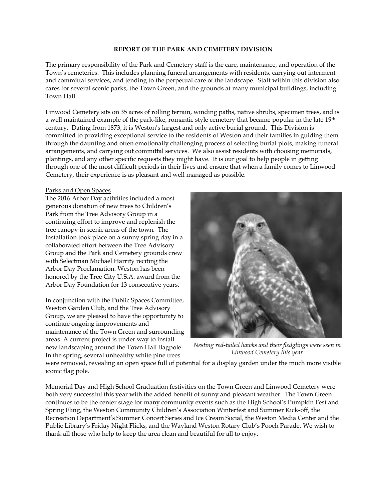#### **REPORT OF THE PARK AND CEMETERY DIVISION**

The primary responsibility of the Park and Cemetery staff is the care, maintenance, and operation of the Town's cemeteries. This includes planning funeral arrangements with residents, carrying out interment and committal services, and tending to the perpetual care of the landscape. Staff within this division also cares for several scenic parks, the Town Green, and the grounds at many municipal buildings, including Town Hall.

Linwood Cemetery sits on 35 acres of rolling terrain, winding paths, native shrubs, specimen trees, and is a well maintained example of the park-like, romantic style cemetery that became popular in the late 19<sup>th</sup> century. Dating from 1873, it is Weston's largest and only active burial ground. This Division is committed to providing exceptional service to the residents of Weston and their families in guiding them through the daunting and often emotionally challenging process of selecting burial plots, making funeral arrangements, and carrying out committal services. We also assist residents with choosing memorials, plantings, and any other specific requests they might have. It is our goal to help people in getting through one of the most difficult periods in their lives and ensure that when a family comes to Linwood Cemetery, their experience is as pleasant and well managed as possible.

## Parks and Open Spaces

The 2016 Arbor Day activities included a most generous donation of new trees to Children's Park from the Tree Advisory Group in a continuing effort to improve and replenish the tree canopy in scenic areas of the town. The installation took place on a sunny spring day in a collaborated effort between the Tree Advisory Group and the Park and Cemetery grounds crew with Selectman Michael Harrity reciting the Arbor Day Proclamation. Weston has been honored by the Tree City U.S.A. award from the Arbor Day Foundation for 13 consecutive years.

In conjunction with the Public Spaces Committee, Weston Garden Club, and the Tree Advisory Group, we are pleased to have the opportunity to continue ongoing improvements and maintenance of the Town Green and surrounding areas. A current project is under way to install new landscaping around the Town Hall flagpole. In the spring, several unhealthy white pine trees



*Nesting red-tailed hawks and their fledglings were seen in Linwood Cemetery this year*

were removed, revealing an open space full of potential for a display garden under the much more visible iconic flag pole.

Memorial Day and High School Graduation festivities on the Town Green and Linwood Cemetery were both very successful this year with the added benefit of sunny and pleasant weather. The Town Green continues to be the center stage for many community events such as the High School's Pumpkin Fest and Spring Fling, the Weston Community Children's Association Winterfest and Summer Kick-off, the Recreation Department's Summer Concert Series and Ice Cream Social, the Weston Media Center and the Public Library's Friday Night Flicks, and the Wayland Weston Rotary Club's Pooch Parade. We wish to thank all those who help to keep the area clean and beautiful for all to enjoy.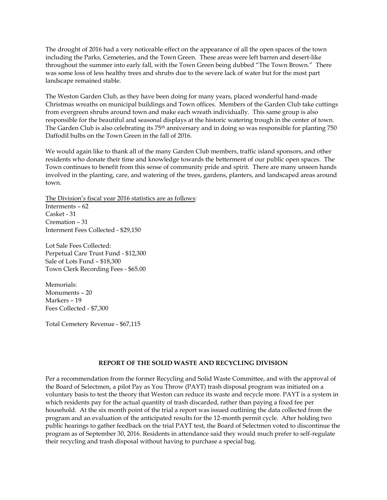The drought of 2016 had a very noticeable effect on the appearance of all the open spaces of the town including the Parks, Cemeteries, and the Town Green. These areas were left barren and desert-like throughout the summer into early fall, with the Town Green being dubbed "The Town Brown." There was some loss of less healthy trees and shrubs due to the severe lack of water but for the most part landscape remained stable.

The Weston Garden Club, as they have been doing for many years, placed wonderful hand-made Christmas wreaths on municipal buildings and Town offices. Members of the Garden Club take cuttings from evergreen shrubs around town and make each wreath individually. This same group is also responsible for the beautiful and seasonal displays at the historic watering trough in the center of town. The Garden Club is also celebrating its 75<sup>th</sup> anniversary and in doing so was responsible for planting 750 Daffodil bulbs on the Town Green in the fall of 2016.

We would again like to thank all of the many Garden Club members, traffic island sponsors, and other residents who donate their time and knowledge towards the betterment of our public open spaces. The Town continues to benefit from this sense of community pride and spirit. There are many unseen hands involved in the planting, care, and watering of the trees, gardens, planters, and landscaped areas around town.

The Division's fiscal year 2016 statistics are as follows: Interments – 62

Casket - 31 Cremation – 31 Interment Fees Collected - \$29,150

Lot Sale Fees Collected: Perpetual Care Trust Fund - \$12,300 Sale of Lots Fund – \$18,300 Town Clerk Recording Fees - \$65.00

Memorials: Monuments – 20 Markers – 19 Fees Collected - \$7,300

Total Cemetery Revenue - \$67,115

# **REPORT OF THE SOLID WASTE AND RECYCLING DIVISION**

Per a recommendation from the former Recycling and Solid Waste Committee, and with the approval of the Board of Selectmen, a pilot Pay as You Throw (PAYT) trash disposal program was initiated on a voluntary basis to test the theory that Weston can reduce its waste and recycle more. PAYT is a system in which residents pay for the actual quantity of trash discarded, rather than paying a fixed fee per household. At the six month point of the trial a report was issued outlining the data collected from the program and an evaluation of the anticipated results for the 12-month permit cycle. After holding two public hearings to gather feedback on the trial PAYT test, the Board of Selectmen voted to discontinue the program as of September 30, 2016. Residents in attendance said they would much prefer to self-regulate their recycling and trash disposal without having to purchase a special bag.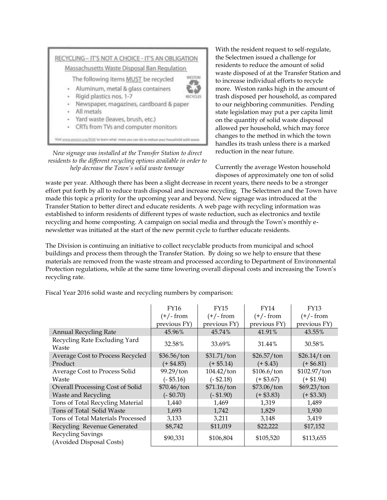

*New signage was installed at the Transfer Station to direct residents to the different recycling options available in order to help decrease the Town's solid waste tonnage*

With the resident request to self-regulate, the Selectmen issued a challenge for residents to reduce the amount of solid waste disposed of at the Transfer Station and to increase individual efforts to recycle more. Weston ranks high in the amount of trash disposed per household, as compared to our neighboring communities. Pending state legislation may put a per capita limit on the quantity of solid waste disposal allowed per household, which may force changes to the method in which the town handles its trash unless there is a marked reduction in the near future.

Currently the average Weston household disposes of approximately one ton of solid

waste per year. Although there has been a slight decrease in recent years, there needs to be a stronger effort put forth by all to reduce trash disposal and increase recycling. The Selectmen and the Town have made this topic a priority for the upcoming year and beyond. New signage was introduced at the Transfer Station to better direct and educate residents. A web page with recycling information was established to inform residents of different types of waste reduction, such as electronics and textile recycling and home composting. A campaign on social media and through the Town's monthly enewsletter was initiated at the start of the new permit cycle to further educate residents.

The Division is continuing an initiative to collect recyclable products from municipal and school buildings and process them through the Transfer Station. By doing so we help to ensure that these materials are removed from the waste stream and processed according to Department of Environmental Protection regulations, while at the same time lowering overall disposal costs and increasing the Town's recycling rate.

Fiscal Year 2016 solid waste and recycling numbers by comparison:

|                                               | <b>FY16</b>  | <b>FY15</b>   | FY14         | <b>FY13</b>   |
|-----------------------------------------------|--------------|---------------|--------------|---------------|
|                                               | $(+/- from$  | $(+/- from$   | $(+/- from$  | $(+/- from$   |
|                                               | previous FY) | previous FY)  | previous FY) | previous FY)  |
| <b>Annual Recycling Rate</b>                  | 45.96%       | 45.74%        | 41.91%       | 43.55%        |
| Recycling Rate Excluding Yard<br>Waste        | 32.58%       | 33.69%        | 31.44%       | 30.58%        |
| Average Cost to Process Recycled              | \$36.56/ton  | \$31.71/ton   | \$26.57/ton  | $$26.14/t$ on |
| Product                                       | $(+ $4.85)$  | $(+ $5.14)$   | $(+ $.43)$   | $(+ $6.81)$   |
| Average Cost to Process Solid                 | 99.29/ton    | $104.42$ /ton | \$106.6/ton  | \$102.97/ton  |
| Waste                                         | $(-$ \$5.16) | $(-$2.18)$    | $(+ $3.67)$  | $(+ $1.94)$   |
| Overall Processing Cost of Solid              | \$70.46/ton  | \$71.16/ton   | \$73.06/ton  | \$69.23/ton   |
| <b>Waste and Recycling</b>                    | $(-\$0.70)$  | $(- $1.90)$   | $(+ $3.83)$  | $(+ $3.30)$   |
| Tons of Total Recycling Material              | 1,440        | 1,469         | 1,319        | 1,489         |
| Tons of Total Solid Waste                     | 1,693        | 1,742         | 1,829        | 1,930         |
| Tons of Total Materials Processed             | 3,133        | 3,211         | 3,148        | 3,419         |
| Recycling Revenue Generated                   | \$8,742      | \$11,019      | \$22,222     | \$17,152      |
| Recycling Savings<br>(Avoided Disposal Costs) | \$90,331     | \$106,804     | \$105,520    | \$113,655     |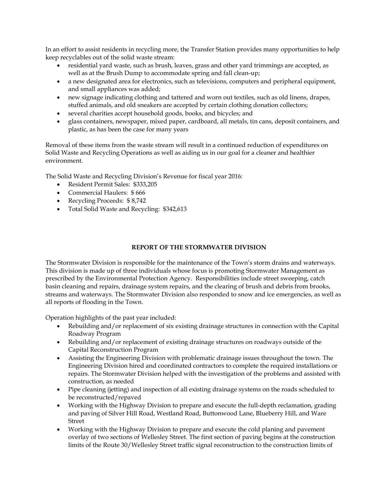In an effort to assist residents in recycling more, the Transfer Station provides many opportunities to help keep recyclables out of the solid waste stream:

- residential yard waste, such as brush, leaves, grass and other yard trimmings are accepted, as well as at the Brush Dump to accommodate spring and fall clean-up;
- a new designated area for electronics, such as televisions, computers and peripheral equipment, and small appliances was added;
- new signage indicating clothing and tattered and worn out textiles, such as old linens, drapes, stuffed animals, and old sneakers are accepted by certain clothing donation collectors;
- several charities accept household goods, books, and bicycles; and
- glass containers, newspaper, mixed paper, cardboard, all metals, tin cans, deposit containers, and plastic, as has been the case for many years

Removal of these items from the waste stream will result in a continued reduction of expenditures on Solid Waste and Recycling Operations as well as aiding us in our goal for a cleaner and healthier environment.

The Solid Waste and Recycling Division's Revenue for fiscal year 2016:

- Resident Permit Sales: \$333,205
- Commercial Haulers: \$ 666
- Recycling Proceeds: \$ 8,742
- Total Solid Waste and Recycling: \$342,613

# **REPORT OF THE STORMWATER DIVISION**

The Stormwater Division is responsible for the maintenance of the Town's storm drains and waterways. This division is made up of three individuals whose focus is promoting Stormwater Management as prescribed by the Environmental Protection Agency. Responsibilities include street sweeping, catch basin cleaning and repairs, drainage system repairs, and the clearing of brush and debris from brooks, streams and waterways. The Stormwater Division also responded to snow and ice emergencies, as well as all reports of flooding in the Town.

Operation highlights of the past year included:

- Rebuilding and/or replacement of six existing drainage structures in connection with the Capital Roadway Program
- Rebuilding and/or replacement of existing drainage structures on roadways outside of the Capital Reconstruction Program
- Assisting the Engineering Division with problematic drainage issues throughout the town. The Engineering Division hired and coordinated contractors to complete the required installations or repairs. The Stormwater Division helped with the investigation of the problems and assisted with construction, as needed
- Pipe cleaning (jetting) and inspection of all existing drainage systems on the roads scheduled to be reconstructed/repaved
- Working with the Highway Division to prepare and execute the full-depth reclamation, grading and paving of Silver Hill Road, Westland Road, Buttonwood Lane, Blueberry Hill, and Ware Street
- Working with the Highway Division to prepare and execute the cold planing and pavement overlay of two sections of Wellesley Street. The first section of paving begins at the construction limits of the Route 30/Wellesley Street traffic signal reconstruction to the construction limits of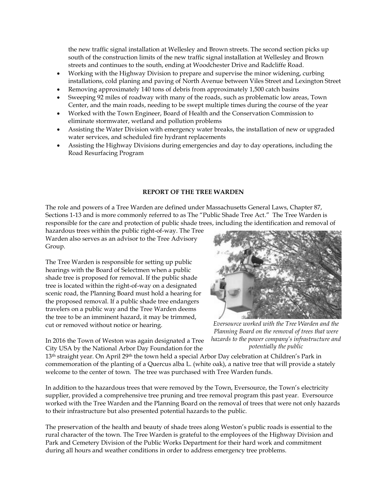the new traffic signal installation at Wellesley and Brown streets. The second section picks up south of the construction limits of the new traffic signal installation at Wellesley and Brown streets and continues to the south, ending at Woodchester Drive and Radcliffe Road.

- Working with the Highway Division to prepare and supervise the minor widening, curbing installations, cold planing and paving of North Avenue between Viles Street and Lexington Street
- Removing approximately 140 tons of debris from approximately 1,500 catch basins
- Sweeping 92 miles of roadway with many of the roads, such as problematic low areas, Town Center, and the main roads, needing to be swept multiple times during the course of the year
- Worked with the Town Engineer, Board of Health and the Conservation Commission to eliminate stormwater, wetland and pollution problems
- Assisting the Water Division with emergency water breaks, the installation of new or upgraded water services, and scheduled fire hydrant replacements
- Assisting the Highway Divisions during emergencies and day to day operations, including the Road Resurfacing Program

### **REPORT OF THE TREE WARDEN**

The role and powers of a Tree Warden are defined under Massachusetts General Laws, Chapter 87, Sections 1-13 and is more commonly referred to as The "Public Shade Tree Act." The Tree Warden is responsible for the care and protection of public shade trees, including the identification and removal of

hazardous trees within the public right-of-way. The Tree Warden also serves as an advisor to the Tree Advisory Group.

The Tree Warden is responsible for setting up public hearings with the Board of Selectmen when a public shade tree is proposed for removal. If the public shade tree is located within the right-of-way on a designated scenic road, the Planning Board must hold a hearing for the proposed removal. If a public shade tree endangers travelers on a public way and the Tree Warden deems the tree to be an imminent hazard, it may be trimmed, cut or removed without notice or hearing.

*Eversource worked with the Tree Warden and the Planning Board on the removal of trees that were hazards to the power company's infrastructure and potentially the public*

In 2016 the Town of Weston was again designated a Tree City USA by the National Arbor Day Foundation for the

13<sup>th</sup> straight year. On April 29<sup>th</sup> the town held a special Arbor Day celebration at Children's Park in commemoration of the planting of a Quercus alba L. (white oak), a native tree that will provide a stately welcome to the center of town. The tree was purchased with Tree Warden funds.

In addition to the hazardous trees that were removed by the Town, Eversource, the Town's electricity supplier, provided a comprehensive tree pruning and tree removal program this past year. Eversource worked with the Tree Warden and the Planning Board on the removal of trees that were not only hazards to their infrastructure but also presented potential hazards to the public.

The preservation of the health and beauty of shade trees along Weston's public roads is essential to the rural character of the town. The Tree Warden is grateful to the employees of the Highway Division and Park and Cemetery Division of the Public Works Department for their hard work and commitment during all hours and weather conditions in order to address emergency tree problems.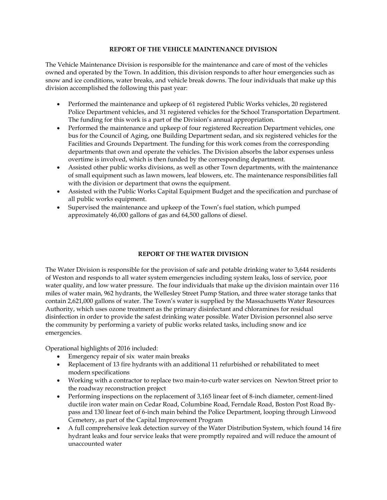## **REPORT OF THE VEHICLE MAINTENANCE DIVISION**

The Vehicle Maintenance Division is responsible for the maintenance and care of most of the vehicles owned and operated by the Town. In addition, this division responds to after hour emergencies such as snow and ice conditions, water breaks, and vehicle break downs. The four individuals that make up this division accomplished the following this past year:

- Performed the maintenance and upkeep of 61 registered Public Works vehicles, 20 registered Police Department vehicles, and 31 registered vehicles for the School Transportation Department. The funding for this work is a part of the Division's annual appropriation.
- Performed the maintenance and upkeep of four registered Recreation Department vehicles, one bus for the Council of Aging, one Building Department sedan, and six registered vehicles for the Facilities and Grounds Department. The funding for this work comes from the corresponding departments that own and operate the vehicles. The Division absorbs the labor expenses unless overtime is involved, which is then funded by the corresponding department.
- Assisted other public works divisions, as well as other Town departments, with the maintenance of small equipment such as lawn mowers, leaf blowers, etc. The maintenance responsibilities fall with the division or department that owns the equipment.
- Assisted with the Public Works Capital Equipment Budget and the specification and purchase of all public works equipment.
- Supervised the maintenance and upkeep of the Town's fuel station, which pumped approximately 46,000 gallons of gas and 64,500 gallons of diesel.

### **REPORT OF THE WATER DIVISION**

The Water Division is responsible for the provision of safe and potable drinking water to 3,644 residents of Weston and responds to all water system emergencies including system leaks, loss of service, poor water quality, and low water pressure. The four individuals that make up the division maintain over 116 miles of water main, 962 hydrants, the Wellesley Street Pump Station, and three water storage tanks that contain 2,621,000 gallons of water. The Town's water is supplied by the Massachusetts Water Resources Authority, which uses ozone treatment as the primary disinfectant and chloramines for residual disinfection in order to provide the safest drinking water possible. Water Division personnel also serve the community by performing a variety of public works related tasks, including snow and ice emergencies.

Operational highlights of 2016 included:

- Emergency repair of six water main breaks
- Replacement of 13 fire hydrants with an additional 11 refurbished or rehabilitated to meet modern specifications
- Working with a contractor to replace two main-to-curb water services on Newton Street prior to the roadway reconstruction project
- Performing inspections on the replacement of 3,165 linear feet of 8-inch diameter, cement-lined ductile iron water main on Cedar Road, Columbine Road, Ferndale Road, Boston Post Road Bypass and 130 linear feet of 6-inch main behind the Police Department, looping through Linwood Cemetery, as part of the Capital Improvement Program
- A full comprehensive leak detection survey of the Water Distribution System, which found 14 fire hydrant leaks and four service leaks that were promptly repaired and will reduce the amount of unaccounted water